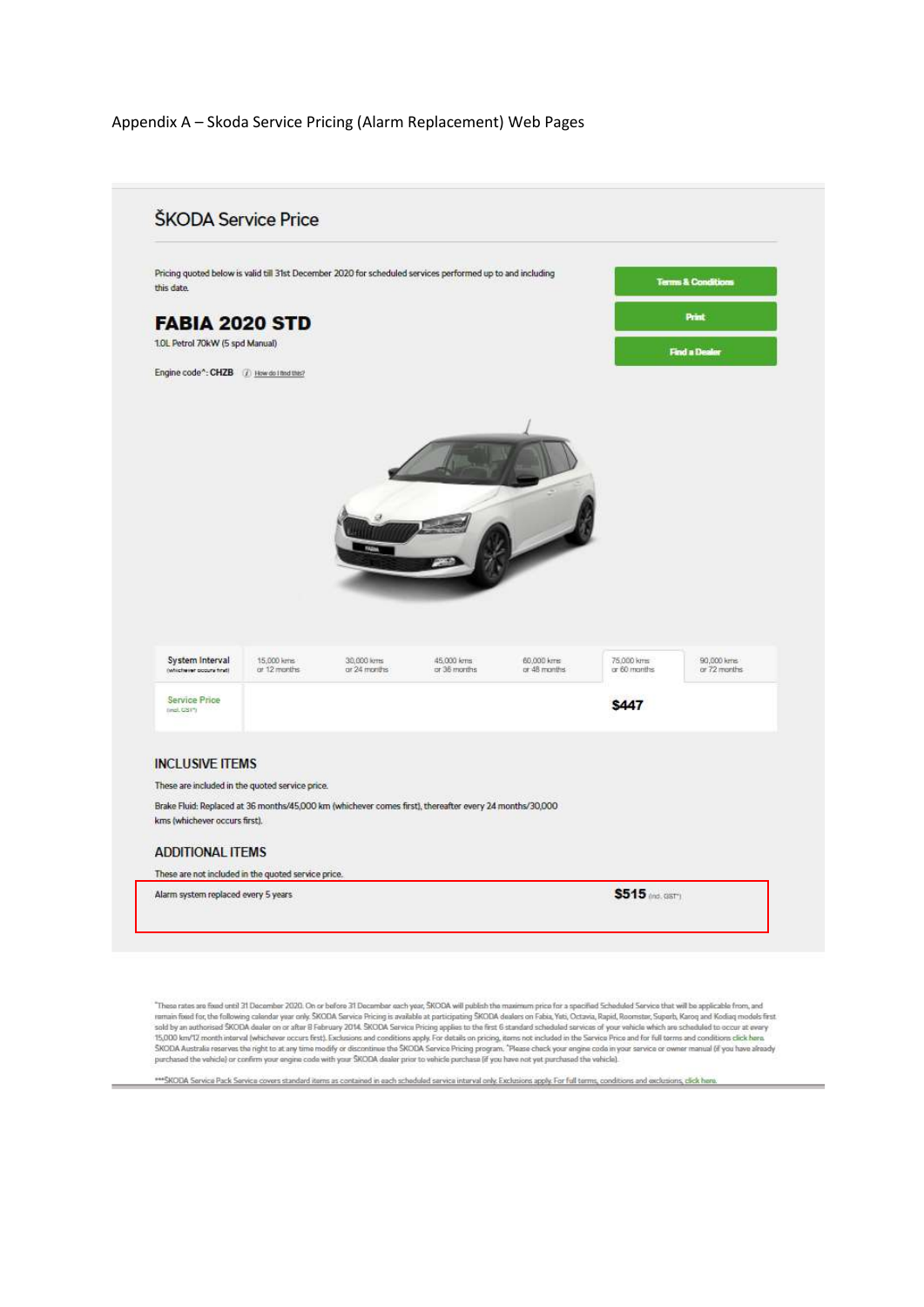## Appendix A - Skoda Service Pricing (Alarm Replacement) Web Pages



"These rates are foud until 31 December 2020. On or before 31 December each year, SKODA will publish the maximum price for a specified Scheduled Service that will be applicable from, and<br>remuin food for, the following cale

\*\*\* SKODA Service Pack Service covers standard items as contained in each scheduled service interval only. Exclusions apply. For full terms, conditions and exclusions, click here